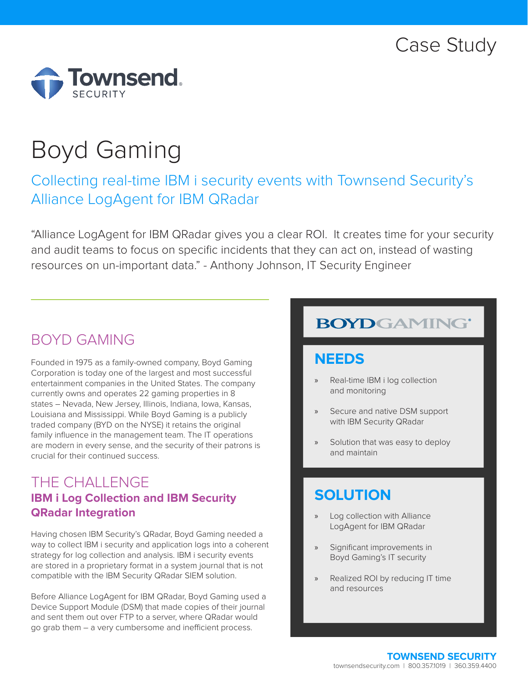

# Boyd Gaming

# Collecting real-time IBM i security events with Townsend Security's Alliance LogAgent for IBM QRadar

"Alliance LogAgent for IBM QRadar gives you a clear ROI. It creates time for your security and audit teams to focus on specific incidents that they can act on, instead of wasting resources on un-important data." - Anthony Johnson, IT Security Engineer

## BOYD GAMING

Founded in 1975 as a family-owned company, Boyd Gaming Corporation is today one of the largest and most successful entertainment companies in the United States. The company currently owns and operates 22 gaming properties in 8 states – Nevada, New Jersey, Illinois, Indiana, Iowa, Kansas, Louisiana and Mississippi. While Boyd Gaming is a publicly traded company (BYD on the NYSE) it retains the original family influence in the management team. The IT operations are modern in every sense, and the security of their patrons is crucial for their continued success.

### THE CHALLENGE **IBM i Log Collection and IBM Security QRadar Integration**

Having chosen IBM Security's QRadar, Boyd Gaming needed a way to collect IBM i security and application logs into a coherent strategy for log collection and analysis. IBM i security events are stored in a proprietary format in a system journal that is not compatible with the IBM Security QRadar SIEM solution.

Before Alliance LogAgent for IBM QRadar, Boyd Gaming used a Device Support Module (DSM) that made copies of their journal and sent them out over FTP to a server, where QRadar would go grab them – a very cumbersome and inefficient process.

# **BOYDGAMING®**

### **NEEDS**

- » Real-time IBM i log collection and monitoring
- Secure and native DSM support with IBM Security QRadar
- Solution that was easy to deploy and maintain

### **SOLUTION**

- Log collection with Alliance LogAgent for IBM QRadar
- » Significant improvements in Boyd Gaming's IT security
- » Realized ROI by reducing IT time and resources